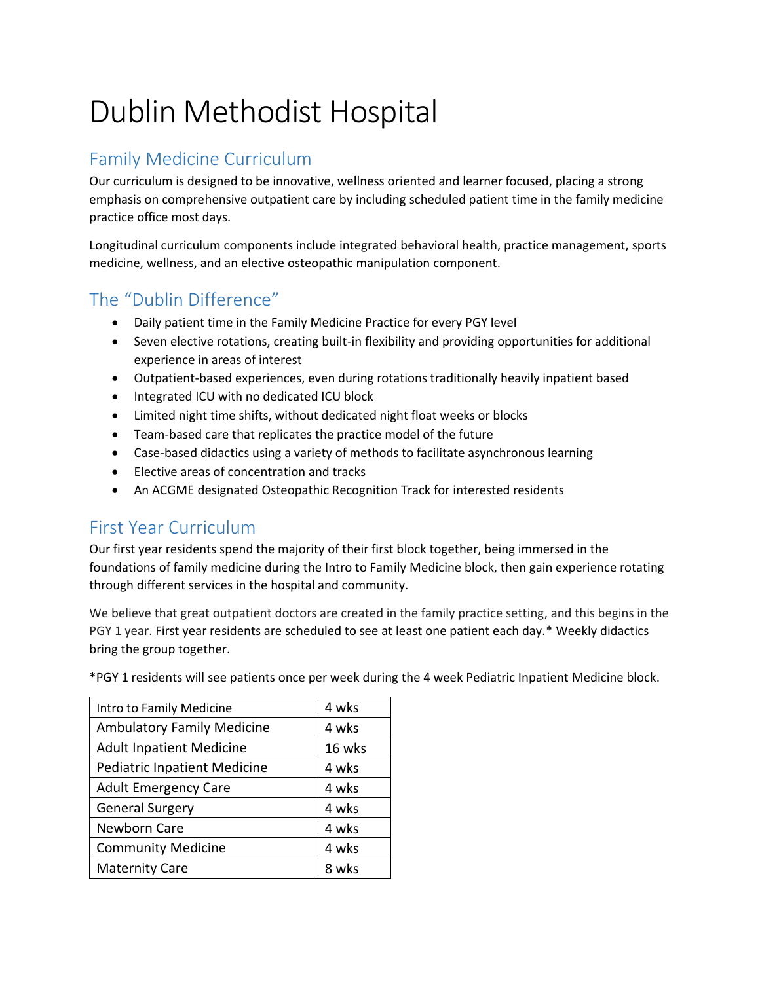# Dublin Methodist Hospital

## Family Medicine Curriculum

Our curriculum is designed to be innovative, wellness oriented and learner focused, placing a strong emphasis on comprehensive outpatient care by including scheduled patient time in the family medicine practice office most days.

Longitudinal curriculum components include integrated behavioral health, practice management, sports medicine, wellness, and an elective osteopathic manipulation component.

## The "Dublin Difference"

- Daily patient time in the Family Medicine Practice for every PGY level
- Seven elective rotations, creating built-in flexibility and providing opportunities for additional experience in areas of interest
- Outpatient-based experiences, even during rotations traditionally heavily inpatient based
- Integrated ICU with no dedicated ICU block
- Limited night time shifts, without dedicated night float weeks or blocks
- Team-based care that replicates the practice model of the future
- Case-based didactics using a variety of methods to facilitate asynchronous learning
- Elective areas of concentration and tracks
- An ACGME designated Osteopathic Recognition Track for interested residents

#### First Year Curriculum

Our first year residents spend the majority of their first block together, being immersed in the foundations of family medicine during the Intro to Family Medicine block, then gain experience rotating through different services in the hospital and community.

We believe that great outpatient doctors are created in the family practice setting, and this begins in the PGY 1 year. First year residents are scheduled to see at least one patient each day.\* Weekly didactics bring the group together.

\*PGY 1 residents will see patients once per week during the 4 week Pediatric Inpatient Medicine block.

| Intro to Family Medicine            | 4 wks  |
|-------------------------------------|--------|
| <b>Ambulatory Family Medicine</b>   | 4 wks  |
| <b>Adult Inpatient Medicine</b>     | 16 wks |
| <b>Pediatric Inpatient Medicine</b> | 4 wks  |
| <b>Adult Emergency Care</b>         | 4 wks  |
| <b>General Surgery</b>              | 4 wks  |
| Newborn Care                        | 4 wks  |
| <b>Community Medicine</b>           | 4 wks  |
| <b>Maternity Care</b>               | 8 wks  |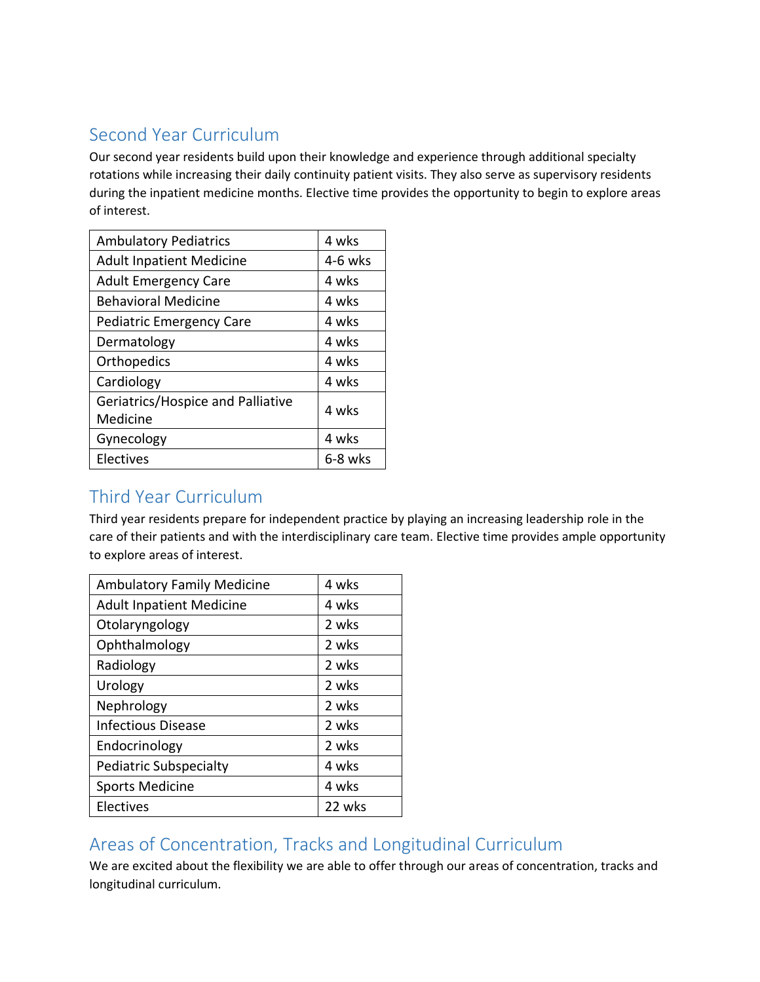## Second Year Curriculum

Our second year residents build upon their knowledge and experience through additional specialty rotations while increasing their daily continuity patient visits. They also serve as supervisory residents during the inpatient medicine months. Elective time provides the opportunity to begin to explore areas of interest.

| <b>Ambulatory Pediatrics</b>      | 4 wks   |
|-----------------------------------|---------|
| <b>Adult Inpatient Medicine</b>   | 4-6 wks |
| <b>Adult Emergency Care</b>       | 4 wks   |
| <b>Behavioral Medicine</b>        | 4 wks   |
| <b>Pediatric Emergency Care</b>   | 4 wks   |
| Dermatology                       | 4 wks   |
| Orthopedics                       | 4 wks   |
| Cardiology                        | 4 wks   |
| Geriatrics/Hospice and Palliative | 4 wks   |
| Medicine                          |         |
| Gynecology                        | 4 wks   |
| Electives                         | 6-8 wks |

# Third Year Curriculum

Third year residents prepare for independent practice by playing an increasing leadership role in the care of their patients and with the interdisciplinary care team. Elective time provides ample opportunity to explore areas of interest.

| <b>Ambulatory Family Medicine</b> | 4 wks  |
|-----------------------------------|--------|
| <b>Adult Inpatient Medicine</b>   | 4 wks  |
| Otolaryngology                    | 2 wks  |
| Ophthalmology                     | 2 wks  |
| Radiology                         | 2 wks  |
| Urology                           | 2 wks  |
| Nephrology                        | 2 wks  |
| <b>Infectious Disease</b>         | 2 wks  |
| Endocrinology                     | 2 wks  |
| Pediatric Subspecialty            | 4 wks  |
| <b>Sports Medicine</b>            | 4 wks  |
| Electives                         | 22 wks |

## Areas of Concentration, Tracks and Longitudinal Curriculum

We are excited about the flexibility we are able to offer through our areas of concentration, tracks and longitudinal curriculum.